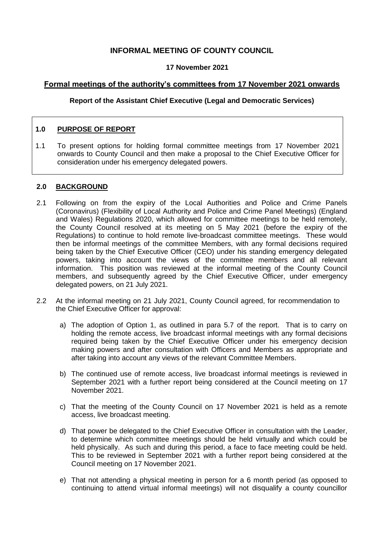# **INFORMAL MEETING OF COUNTY COUNCIL**

## **17 November 2021**

## **Formal meetings of the authority's committees from 17 November 2021 onwards**

#### **Report of the Assistant Chief Executive (Legal and Democratic Services)**

## **1.0 PURPOSE OF REPORT**

1.1 To present options for holding formal committee meetings from 17 November 2021 onwards to County Council and then make a proposal to the Chief Executive Officer for consideration under his emergency delegated powers.

#### **2.0 BACKGROUND**

- 2.1 Following on from the expiry of the Local Authorities and Police and Crime Panels (Coronavirus) (Flexibility of Local Authority and Police and Crime Panel Meetings) (England and Wales) Regulations 2020, which allowed for committee meetings to be held remotely, the County Council resolved at its meeting on 5 May 2021 (before the expiry of the Regulations) to continue to hold remote live-broadcast committee meetings. These would then be informal meetings of the committee Members, with any formal decisions required being taken by the Chief Executive Officer (CEO) under his standing emergency delegated powers, taking into account the views of the committee members and all relevant information. This position was reviewed at the informal meeting of the County Council members, and subsequently agreed by the Chief Executive Officer, under emergency delegated powers, on 21 July 2021.
- 2.2 At the informal meeting on 21 July 2021, County Council agreed, for recommendation to the Chief Executive Officer for approval:
	- a) The adoption of Option 1, as outlined in para 5.7 of the report. That is to carry on holding the remote access, live broadcast informal meetings with any formal decisions required being taken by the Chief Executive Officer under his emergency decision making powers and after consultation with Officers and Members as appropriate and after taking into account any views of the relevant Committee Members.
	- b) The continued use of remote access, live broadcast informal meetings is reviewed in September 2021 with a further report being considered at the Council meeting on 17 November 2021.
	- c) That the meeting of the County Council on 17 November 2021 is held as a remote access, live broadcast meeting.
	- d) That power be delegated to the Chief Executive Officer in consultation with the Leader, to determine which committee meetings should be held virtually and which could be held physically. As such and during this period, a face to face meeting could be held. This to be reviewed in September 2021 with a further report being considered at the Council meeting on 17 November 2021.
	- e) That not attending a physical meeting in person for a 6 month period (as opposed to continuing to attend virtual informal meetings) will not disqualify a county councillor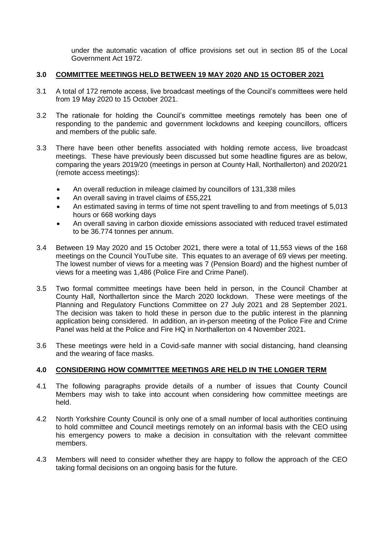under the automatic vacation of office provisions set out in section 85 of the Local Government Act 1972.

#### **3.0 COMMITTEE MEETINGS HELD BETWEEN 19 MAY 2020 AND 15 OCTOBER 2021**

- 3.1 A total of 172 remote access, live broadcast meetings of the Council's committees were held from 19 May 2020 to 15 October 2021.
- 3.2 The rationale for holding the Council's committee meetings remotely has been one of responding to the pandemic and government lockdowns and keeping councillors, officers and members of the public safe.
- 3.3 There have been other benefits associated with holding remote access, live broadcast meetings. These have previously been discussed but some headline figures are as below, comparing the years 2019/20 (meetings in person at County Hall, Northallerton) and 2020/21 (remote access meetings):
	- An overall reduction in mileage claimed by councillors of 131,338 miles
	- An overall saving in travel claims of £55,221
	- An estimated saving in terms of time not spent travelling to and from meetings of 5,013 hours or 668 working days
	- An overall saving in carbon dioxide emissions associated with reduced travel estimated to be 36.774 tonnes per annum.
- 3.4 Between 19 May 2020 and 15 October 2021, there were a total of 11,553 views of the 168 meetings on the Council YouTube site. This equates to an average of 69 views per meeting. The lowest number of views for a meeting was 7 (Pension Board) and the highest number of views for a meeting was 1,486 (Police Fire and Crime Panel).
- 3.5 Two formal committee meetings have been held in person, in the Council Chamber at County Hall, Northallerton since the March 2020 lockdown. These were meetings of the Planning and Regulatory Functions Committee on 27 July 2021 and 28 September 2021. The decision was taken to hold these in person due to the public interest in the planning application being considered. In addition, an in-person meeting of the Police Fire and Crime Panel was held at the Police and Fire HQ in Northallerton on 4 November 2021.
- 3.6 These meetings were held in a Covid-safe manner with social distancing, hand cleansing and the wearing of face masks.

## **4.0 CONSIDERING HOW COMMITTEE MEETINGS ARE HELD IN THE LONGER TERM**

- 4.1 The following paragraphs provide details of a number of issues that County Council Members may wish to take into account when considering how committee meetings are held.
- 4.2 North Yorkshire County Council is only one of a small number of local authorities continuing to hold committee and Council meetings remotely on an informal basis with the CEO using his emergency powers to make a decision in consultation with the relevant committee members.
- 4.3 Members will need to consider whether they are happy to follow the approach of the CEO taking formal decisions on an ongoing basis for the future.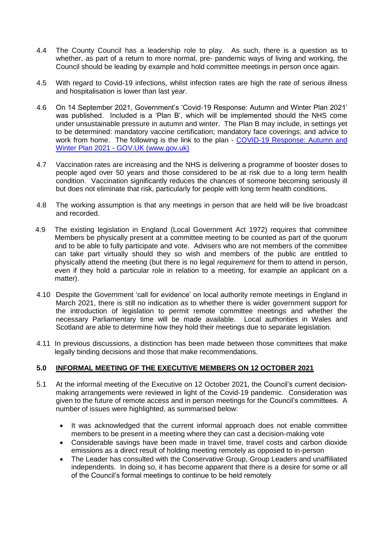- 4.4 The County Council has a leadership role to play. As such, there is a question as to whether, as part of a return to more normal, pre- pandemic ways of living and working, the Council should be leading by example and hold committee meetings in person once again.
- 4.5 With regard to Covid-19 infections, whilst infection rates are high the rate of serious illness and hospitalisation is lower than last year.
- 4.6 On 14 September 2021, Government's 'Covid-19 Response: Autumn and Winter Plan 2021' was published. Included is a 'Plan B', which will be implemented should the NHS come under unsustainable pressure in autumn and winter. The Plan B may include, in settings yet to be determined: mandatory vaccine certification; mandatory face coverings; and advice to work from home. The following is the link to the plan - [COVID-19 Response: Autumn and](https://www.gov.uk/government/publications/covid-19-response-autumn-and-winter-plan-2021)  Winter Plan 2021 - [GOV.UK \(www.gov.uk\)](https://www.gov.uk/government/publications/covid-19-response-autumn-and-winter-plan-2021)
- 4.7 Vaccination rates are increasing and the NHS is delivering a programme of booster doses to people aged over 50 years and those considered to be at risk due to a long term health condition. Vaccination significantly reduces the chances of someone becoming seriously ill but does not eliminate that risk, particularly for people with long term health conditions.
- 4.8 The working assumption is that any meetings in person that are held will be live broadcast and recorded.
- 4.9 The existing legislation in England (Local Government Act 1972) requires that committee Members be physically present at a committee meeting to be counted as part of the quorum and to be able to fully participate and vote. Advisers who are not members of the committee can take part virtually should they so wish and members of the public are entitled to physically attend the meeting (but there is no legal *requirement* for them to attend in person, even if they hold a particular role in relation to a meeting, for example an applicant on a matter).
- 4.10 Despite the Government 'call for evidence' on local authority remote meetings in England in March 2021, there is still no indication as to whether there is wider government support for the introduction of legislation to permit remote committee meetings and whether the necessary Parliamentary time will be made available. Local authorities in Wales and Scotland are able to determine how they hold their meetings due to separate legislation.
- 4.11 In previous discussions, a distinction has been made between those committees that make legally binding decisions and those that make recommendations.

## **5.0 INFORMAL MEETING OF THE EXECUTIVE MEMBERS ON 12 OCTOBER 2021**

- 5.1 At the informal meeting of the Executive on 12 October 2021, the Council's current decisionmaking arrangements were reviewed in light of the Covid-19 pandemic. Consideration was given to the future of remote access and in person meetings for the Council's committees. A number of issues were highlighted, as summarised below:
	- It was acknowledged that the current informal approach does not enable committee members to be present in a meeting where they can cast a decision-making vote
	- Considerable savings have been made in travel time, travel costs and carbon dioxide emissions as a direct result of holding meeting remotely as opposed to in-person
	- The Leader has consulted with the Conservative Group, Group Leaders and unaffiliated independents. In doing so, it has become apparent that there is a desire for some or all of the Council's formal meetings to continue to be held remotely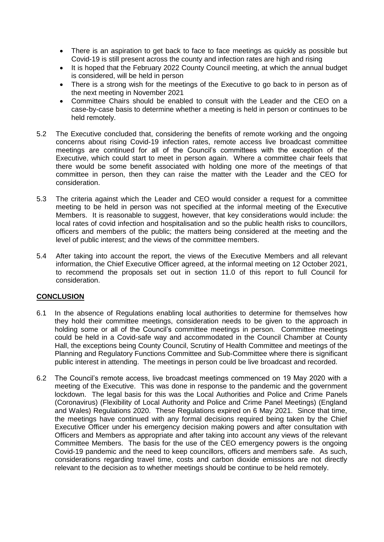- There is an aspiration to get back to face to face meetings as quickly as possible but Covid-19 is still present across the county and infection rates are high and rising
- It is hoped that the February 2022 County Council meeting, at which the annual budget is considered, will be held in person
- There is a strong wish for the meetings of the Executive to go back to in person as of the next meeting in November 2021
- Committee Chairs should be enabled to consult with the Leader and the CEO on a case-by-case basis to determine whether a meeting is held in person or continues to be held remotely.
- 5.2 The Executive concluded that, considering the benefits of remote working and the ongoing concerns about rising Covid-19 infection rates, remote access live broadcast committee meetings are continued for all of the Council's committees with the exception of the Executive, which could start to meet in person again. Where a committee chair feels that there would be some benefit associated with holding one more of the meetings of that committee in person, then they can raise the matter with the Leader and the CEO for consideration.
- 5.3 The criteria against which the Leader and CEO would consider a request for a committee meeting to be held in person was not specified at the informal meeting of the Executive Members. It is reasonable to suggest, however, that key considerations would include: the local rates of covid infection and hospitalisation and so the public health risks to councillors, officers and members of the public; the matters being considered at the meeting and the level of public interest; and the views of the committee members.
- 5.4 After taking into account the report, the views of the Executive Members and all relevant information, the Chief Executive Officer agreed, at the informal meeting on 12 October 2021, to recommend the proposals set out in section 11.0 of this report to full Council for consideration.

## **CONCLUSION**

- 6.1 In the absence of Regulations enabling local authorities to determine for themselves how they hold their committee meetings, consideration needs to be given to the approach in holding some or all of the Council's committee meetings in person. Committee meetings could be held in a Covid-safe way and accommodated in the Council Chamber at County Hall, the exceptions being County Council, Scrutiny of Health Committee and meetings of the Planning and Regulatory Functions Committee and Sub-Committee where there is significant public interest in attending. The meetings in person could be live broadcast and recorded.
- 6.2 The Council's remote access, live broadcast meetings commenced on 19 May 2020 with a meeting of the Executive. This was done in response to the pandemic and the government lockdown. The legal basis for this was the Local Authorities and Police and Crime Panels (Coronavirus) (Flexibility of Local Authority and Police and Crime Panel Meetings) (England and Wales) Regulations 2020. These Regulations expired on 6 May 2021. Since that time, the meetings have continued with any formal decisions required being taken by the Chief Executive Officer under his emergency decision making powers and after consultation with Officers and Members as appropriate and after taking into account any views of the relevant Committee Members. The basis for the use of the CEO emergency powers is the ongoing Covid-19 pandemic and the need to keep councillors, officers and members safe. As such, considerations regarding travel time, costs and carbon dioxide emissions are not directly relevant to the decision as to whether meetings should be continue to be held remotely.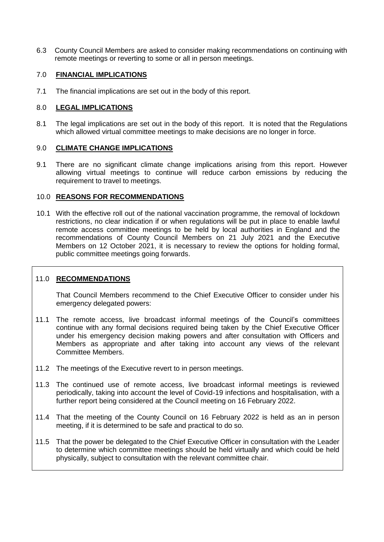6.3 County Council Members are asked to consider making recommendations on continuing with remote meetings or reverting to some or all in person meetings.

## 7.0 **FINANCIAL IMPLICATIONS**

7.1 The financial implications are set out in the body of this report.

## 8.0 **LEGAL IMPLICATIONS**

8.1 The legal implications are set out in the body of this report. It is noted that the Regulations which allowed virtual committee meetings to make decisions are no longer in force.

#### 9.0 **CLIMATE CHANGE IMPLICATIONS**

9.1 There are no significant climate change implications arising from this report. However allowing virtual meetings to continue will reduce carbon emissions by reducing the requirement to travel to meetings.

#### 10.0 **REASONS FOR RECOMMENDATIONS**

10.1 With the effective roll out of the national vaccination programme, the removal of lockdown restrictions, no clear indication if or when regulations will be put in place to enable lawful remote access committee meetings to be held by local authorities in England and the recommendations of County Council Members on 21 July 2021 and the Executive Members on 12 October 2021, it is necessary to review the options for holding formal, public committee meetings going forwards.

## 11.0 **RECOMMENDATIONS**

That Council Members recommend to the Chief Executive Officer to consider under his emergency delegated powers:

- 11.1 The remote access, live broadcast informal meetings of the Council's committees continue with any formal decisions required being taken by the Chief Executive Officer under his emergency decision making powers and after consultation with Officers and Members as appropriate and after taking into account any views of the relevant Committee Members.
- 11.2 The meetings of the Executive revert to in person meetings.
- 11.3 The continued use of remote access, live broadcast informal meetings is reviewed periodically, taking into account the level of Covid-19 infections and hospitalisation, with a further report being considered at the Council meeting on 16 February 2022.
- 11.4 That the meeting of the County Council on 16 February 2022 is held as an in person meeting, if it is determined to be safe and practical to do so.
- 11.5 That the power be delegated to the Chief Executive Officer in consultation with the Leader to determine which committee meetings should be held virtually and which could be held physically, subject to consultation with the relevant committee chair.